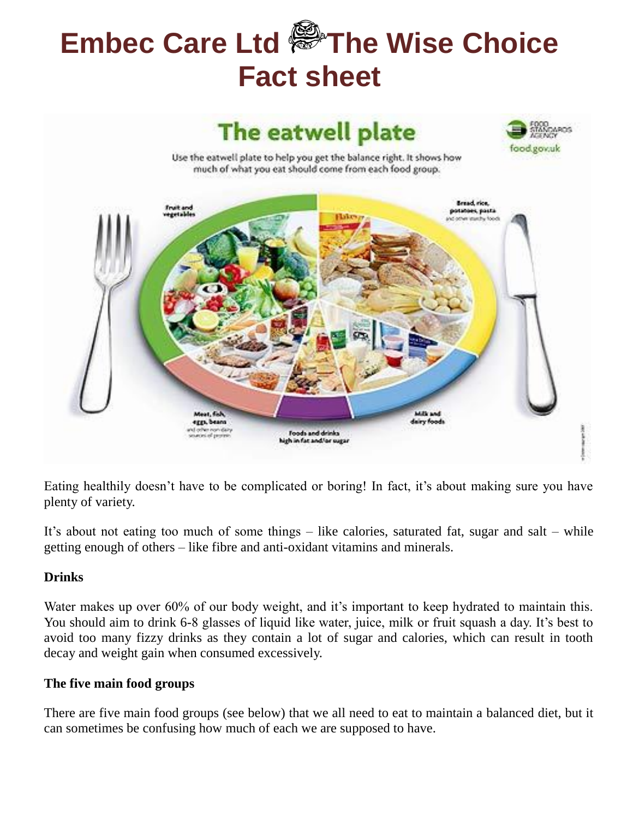# **Embec Care Ltd The Wise Choice Fact sheet**



Eating healthily doesn't have to be complicated or boring! In fact, it's about making sure you have plenty of variety.

It's about not eating too much of some things – like calories, saturated fat, sugar and salt – while getting enough of others – like fibre and anti-oxidant vitamins and minerals.

### **Drinks**

Water makes up over 60% of our body weight, and it's important to keep hydrated to maintain this. You should aim to drink 6-8 glasses of liquid like water, juice, milk or fruit squash a day. It's best to avoid too many fizzy drinks as they contain a lot of sugar and calories, which can result in tooth decay and weight gain when consumed excessively.

### **The five main food groups**

There are five main food groups (see below) that we all need to eat to maintain a balanced diet, but it can sometimes be confusing how much of each we are supposed to have.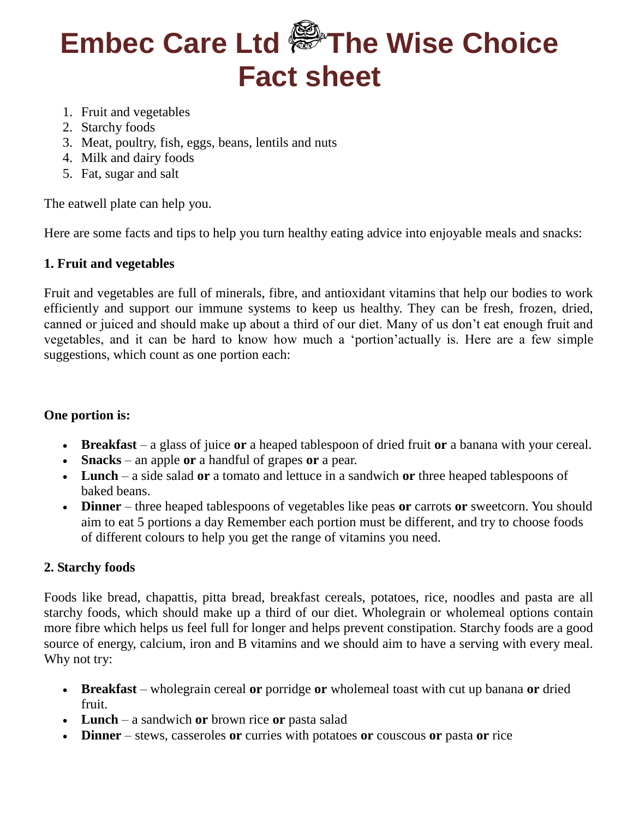# **Embec Care Ltd The Wise Choice Fact sheet**

- 1. Fruit and vegetables
- 2. Starchy foods
- 3. Meat, poultry, fish, eggs, beans, lentils and nuts
- 4. Milk and dairy foods
- 5. Fat, sugar and salt

The eatwell plate can help you.

Here are some facts and tips to help you turn healthy eating advice into enjoyable meals and snacks:

### **1. Fruit and vegetables**

Fruit and vegetables are full of minerals, fibre, and antioxidant vitamins that help our bodies to work efficiently and support our immune systems to keep us healthy. They can be fresh, frozen, dried, canned or juiced and should make up about a third of our diet. Many of us don't eat enough fruit and vegetables, and it can be hard to know how much a 'portion'actually is. Here are a few simple suggestions, which count as one portion each:

### **One portion is:**

- **Breakfast** a glass of juice **or** a heaped tablespoon of dried fruit **or** a banana with your cereal.
- **Snacks** an apple **or** a handful of grapes **or** a pear.
- **Lunch** a side salad **or** a tomato and lettuce in a sandwich **or** three heaped tablespoons of baked beans.
- **Dinner** three heaped tablespoons of vegetables like peas **or** carrots **or** sweetcorn. You should aim to eat 5 portions a day Remember each portion must be different, and try to choose foods of different colours to help you get the range of vitamins you need.

## **2. Starchy foods**

Foods like bread, chapattis, pitta bread, breakfast cereals, potatoes, rice, noodles and pasta are all starchy foods, which should make up a third of our diet. Wholegrain or wholemeal options contain more fibre which helps us feel full for longer and helps prevent constipation. Starchy foods are a good source of energy, calcium, iron and B vitamins and we should aim to have a serving with every meal. Why not try:

- **Breakfast** wholegrain cereal **or** porridge **or** wholemeal toast with cut up banana **or** dried fruit.
- **Lunch** a sandwich **or** brown rice **or** pasta salad
- **Dinner** stews, casseroles **or** curries with potatoes **or** couscous **or** pasta **or** rice